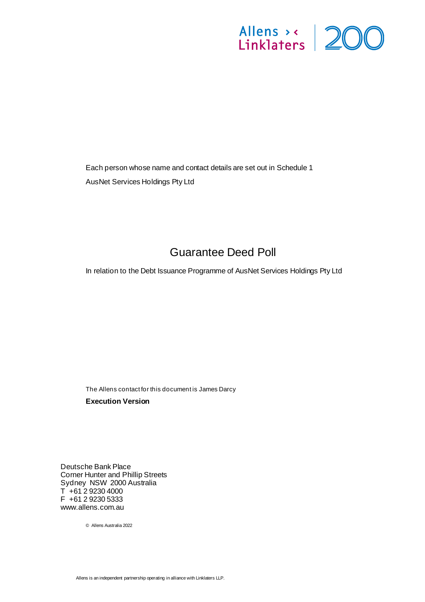# Allens > < 200

Each person whose name and contact details are set out i[n Schedule](#page-14-0) 1 AusNet Services Holdings Pty Ltd

# Guarantee Deed Poll

<span id="page-0-1"></span><span id="page-0-0"></span>In relation to the Debt Issuance Programme of AusNet Services Holdings Pty Ltd

The Allens contact for this document is James Darcy **Execution Version**

Deutsche Bank Place Corner Hunter and Phillip Streets Sydney NSW 2000 Australia T +61 2 9230 4000 F +61 2 9230 5333 www.allens.com.au

© Allens Australia 2022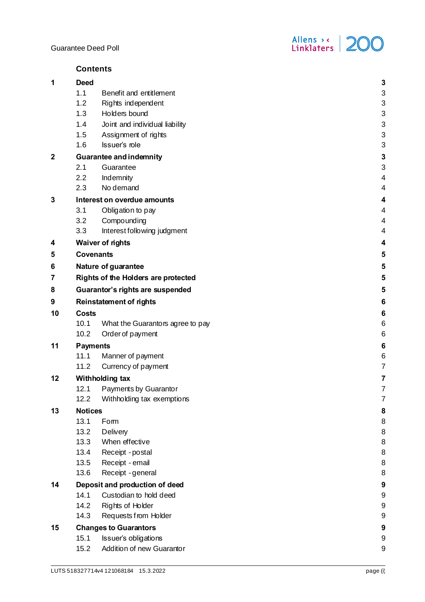

| <b>Deed</b><br>3<br>1.1<br>$\ensuremath{\mathsf{3}}$<br>Benefit and entitlement<br>1.2<br>$\ensuremath{\mathsf{3}}$<br>Rights independent<br>1.3<br>Holders bound<br>3<br>Joint and individual liability<br>$\ensuremath{\mathsf{3}}$<br>1.4<br>$\ensuremath{\mathsf{3}}$<br>1.5<br>Assignment of rights<br>3<br>Issuer's role<br>1.6<br>$\mathbf{3}$<br><b>Guarantee and indemnity</b><br>3<br>2.1<br>Guarantee<br>2.2<br>Indemnity<br>4<br>No demand<br>2.3<br>4<br>Interest on overdue amounts<br>4<br>3.1<br>Obligation to pay<br>4<br>3.2<br>Compounding<br>4<br>3.3<br>Interest following judgment<br>4<br><b>Waiver of rights</b><br>4<br><b>Covenants</b><br>5<br>Nature of guarantee<br>5<br>5<br><b>Rights of the Holders are protected</b><br>Guarantor's rights are suspended<br>5<br>$6\phantom{1}6$<br><b>Reinstatement of rights</b><br><b>Costs</b><br>6<br>6<br>10.1<br>What the Guarantors agree to pay<br>6<br>10.2<br>Order of payment<br>$6\phantom{1}6$<br><b>Payments</b><br>11.1<br>6<br>Manner of payment<br>$\overline{7}$<br>11.2<br>Currency of payment<br>Withholding tax<br>7<br>12.1<br>Payments by Guarantor<br>7<br>12.2<br>Withholding tax exemptions<br>7<br><b>Notices</b><br>13<br>8<br>13.1<br>8<br>Fom<br>13.2<br>8<br>Delivery<br>13.3<br>When effective<br>8<br>$\,8\,$<br>Receipt - postal<br>13.4<br>$\,8\,$<br>13.5<br>Receipt - email<br>8<br>13.6<br>Receipt - general<br>14<br>Deposit and production of deed<br>9<br>14.1<br>Custodian to hold deed<br>$\boldsymbol{9}$<br>$\boldsymbol{9}$<br>14.2<br>Rights of Holder<br>14.3<br>$\boldsymbol{9}$<br>Requests from Holder<br><b>Changes to Guarantors</b><br>9<br>15.1<br>Issuer's obligations<br>9 |             | <b>Contents</b> |  |  |
|-------------------------------------------------------------------------------------------------------------------------------------------------------------------------------------------------------------------------------------------------------------------------------------------------------------------------------------------------------------------------------------------------------------------------------------------------------------------------------------------------------------------------------------------------------------------------------------------------------------------------------------------------------------------------------------------------------------------------------------------------------------------------------------------------------------------------------------------------------------------------------------------------------------------------------------------------------------------------------------------------------------------------------------------------------------------------------------------------------------------------------------------------------------------------------------------------------------------------------------------------------------------------------------------------------------------------------------------------------------------------------------------------------------------------------------------------------------------------------------------------------------------------------------------------------------------------------------------------------------------------------------------------------------------------------------------------------|-------------|-----------------|--|--|
|                                                                                                                                                                                                                                                                                                                                                                                                                                                                                                                                                                                                                                                                                                                                                                                                                                                                                                                                                                                                                                                                                                                                                                                                                                                                                                                                                                                                                                                                                                                                                                                                                                                                                                       | 1           |                 |  |  |
|                                                                                                                                                                                                                                                                                                                                                                                                                                                                                                                                                                                                                                                                                                                                                                                                                                                                                                                                                                                                                                                                                                                                                                                                                                                                                                                                                                                                                                                                                                                                                                                                                                                                                                       |             |                 |  |  |
|                                                                                                                                                                                                                                                                                                                                                                                                                                                                                                                                                                                                                                                                                                                                                                                                                                                                                                                                                                                                                                                                                                                                                                                                                                                                                                                                                                                                                                                                                                                                                                                                                                                                                                       |             |                 |  |  |
|                                                                                                                                                                                                                                                                                                                                                                                                                                                                                                                                                                                                                                                                                                                                                                                                                                                                                                                                                                                                                                                                                                                                                                                                                                                                                                                                                                                                                                                                                                                                                                                                                                                                                                       |             |                 |  |  |
|                                                                                                                                                                                                                                                                                                                                                                                                                                                                                                                                                                                                                                                                                                                                                                                                                                                                                                                                                                                                                                                                                                                                                                                                                                                                                                                                                                                                                                                                                                                                                                                                                                                                                                       |             |                 |  |  |
|                                                                                                                                                                                                                                                                                                                                                                                                                                                                                                                                                                                                                                                                                                                                                                                                                                                                                                                                                                                                                                                                                                                                                                                                                                                                                                                                                                                                                                                                                                                                                                                                                                                                                                       |             |                 |  |  |
|                                                                                                                                                                                                                                                                                                                                                                                                                                                                                                                                                                                                                                                                                                                                                                                                                                                                                                                                                                                                                                                                                                                                                                                                                                                                                                                                                                                                                                                                                                                                                                                                                                                                                                       |             |                 |  |  |
|                                                                                                                                                                                                                                                                                                                                                                                                                                                                                                                                                                                                                                                                                                                                                                                                                                                                                                                                                                                                                                                                                                                                                                                                                                                                                                                                                                                                                                                                                                                                                                                                                                                                                                       | $\mathbf 2$ |                 |  |  |
|                                                                                                                                                                                                                                                                                                                                                                                                                                                                                                                                                                                                                                                                                                                                                                                                                                                                                                                                                                                                                                                                                                                                                                                                                                                                                                                                                                                                                                                                                                                                                                                                                                                                                                       |             |                 |  |  |
|                                                                                                                                                                                                                                                                                                                                                                                                                                                                                                                                                                                                                                                                                                                                                                                                                                                                                                                                                                                                                                                                                                                                                                                                                                                                                                                                                                                                                                                                                                                                                                                                                                                                                                       |             |                 |  |  |
|                                                                                                                                                                                                                                                                                                                                                                                                                                                                                                                                                                                                                                                                                                                                                                                                                                                                                                                                                                                                                                                                                                                                                                                                                                                                                                                                                                                                                                                                                                                                                                                                                                                                                                       |             |                 |  |  |
|                                                                                                                                                                                                                                                                                                                                                                                                                                                                                                                                                                                                                                                                                                                                                                                                                                                                                                                                                                                                                                                                                                                                                                                                                                                                                                                                                                                                                                                                                                                                                                                                                                                                                                       | 3           |                 |  |  |
|                                                                                                                                                                                                                                                                                                                                                                                                                                                                                                                                                                                                                                                                                                                                                                                                                                                                                                                                                                                                                                                                                                                                                                                                                                                                                                                                                                                                                                                                                                                                                                                                                                                                                                       |             |                 |  |  |
|                                                                                                                                                                                                                                                                                                                                                                                                                                                                                                                                                                                                                                                                                                                                                                                                                                                                                                                                                                                                                                                                                                                                                                                                                                                                                                                                                                                                                                                                                                                                                                                                                                                                                                       |             |                 |  |  |
|                                                                                                                                                                                                                                                                                                                                                                                                                                                                                                                                                                                                                                                                                                                                                                                                                                                                                                                                                                                                                                                                                                                                                                                                                                                                                                                                                                                                                                                                                                                                                                                                                                                                                                       |             |                 |  |  |
|                                                                                                                                                                                                                                                                                                                                                                                                                                                                                                                                                                                                                                                                                                                                                                                                                                                                                                                                                                                                                                                                                                                                                                                                                                                                                                                                                                                                                                                                                                                                                                                                                                                                                                       | 4           |                 |  |  |
|                                                                                                                                                                                                                                                                                                                                                                                                                                                                                                                                                                                                                                                                                                                                                                                                                                                                                                                                                                                                                                                                                                                                                                                                                                                                                                                                                                                                                                                                                                                                                                                                                                                                                                       | 5           |                 |  |  |
|                                                                                                                                                                                                                                                                                                                                                                                                                                                                                                                                                                                                                                                                                                                                                                                                                                                                                                                                                                                                                                                                                                                                                                                                                                                                                                                                                                                                                                                                                                                                                                                                                                                                                                       | 6           |                 |  |  |
|                                                                                                                                                                                                                                                                                                                                                                                                                                                                                                                                                                                                                                                                                                                                                                                                                                                                                                                                                                                                                                                                                                                                                                                                                                                                                                                                                                                                                                                                                                                                                                                                                                                                                                       | 7           |                 |  |  |
|                                                                                                                                                                                                                                                                                                                                                                                                                                                                                                                                                                                                                                                                                                                                                                                                                                                                                                                                                                                                                                                                                                                                                                                                                                                                                                                                                                                                                                                                                                                                                                                                                                                                                                       | 8           |                 |  |  |
|                                                                                                                                                                                                                                                                                                                                                                                                                                                                                                                                                                                                                                                                                                                                                                                                                                                                                                                                                                                                                                                                                                                                                                                                                                                                                                                                                                                                                                                                                                                                                                                                                                                                                                       | 9           |                 |  |  |
|                                                                                                                                                                                                                                                                                                                                                                                                                                                                                                                                                                                                                                                                                                                                                                                                                                                                                                                                                                                                                                                                                                                                                                                                                                                                                                                                                                                                                                                                                                                                                                                                                                                                                                       | 10          |                 |  |  |
|                                                                                                                                                                                                                                                                                                                                                                                                                                                                                                                                                                                                                                                                                                                                                                                                                                                                                                                                                                                                                                                                                                                                                                                                                                                                                                                                                                                                                                                                                                                                                                                                                                                                                                       |             |                 |  |  |
|                                                                                                                                                                                                                                                                                                                                                                                                                                                                                                                                                                                                                                                                                                                                                                                                                                                                                                                                                                                                                                                                                                                                                                                                                                                                                                                                                                                                                                                                                                                                                                                                                                                                                                       |             |                 |  |  |
|                                                                                                                                                                                                                                                                                                                                                                                                                                                                                                                                                                                                                                                                                                                                                                                                                                                                                                                                                                                                                                                                                                                                                                                                                                                                                                                                                                                                                                                                                                                                                                                                                                                                                                       | 11          |                 |  |  |
|                                                                                                                                                                                                                                                                                                                                                                                                                                                                                                                                                                                                                                                                                                                                                                                                                                                                                                                                                                                                                                                                                                                                                                                                                                                                                                                                                                                                                                                                                                                                                                                                                                                                                                       |             |                 |  |  |
|                                                                                                                                                                                                                                                                                                                                                                                                                                                                                                                                                                                                                                                                                                                                                                                                                                                                                                                                                                                                                                                                                                                                                                                                                                                                                                                                                                                                                                                                                                                                                                                                                                                                                                       |             |                 |  |  |
|                                                                                                                                                                                                                                                                                                                                                                                                                                                                                                                                                                                                                                                                                                                                                                                                                                                                                                                                                                                                                                                                                                                                                                                                                                                                                                                                                                                                                                                                                                                                                                                                                                                                                                       | 12          |                 |  |  |
|                                                                                                                                                                                                                                                                                                                                                                                                                                                                                                                                                                                                                                                                                                                                                                                                                                                                                                                                                                                                                                                                                                                                                                                                                                                                                                                                                                                                                                                                                                                                                                                                                                                                                                       |             |                 |  |  |
|                                                                                                                                                                                                                                                                                                                                                                                                                                                                                                                                                                                                                                                                                                                                                                                                                                                                                                                                                                                                                                                                                                                                                                                                                                                                                                                                                                                                                                                                                                                                                                                                                                                                                                       |             |                 |  |  |
|                                                                                                                                                                                                                                                                                                                                                                                                                                                                                                                                                                                                                                                                                                                                                                                                                                                                                                                                                                                                                                                                                                                                                                                                                                                                                                                                                                                                                                                                                                                                                                                                                                                                                                       |             |                 |  |  |
|                                                                                                                                                                                                                                                                                                                                                                                                                                                                                                                                                                                                                                                                                                                                                                                                                                                                                                                                                                                                                                                                                                                                                                                                                                                                                                                                                                                                                                                                                                                                                                                                                                                                                                       |             |                 |  |  |
|                                                                                                                                                                                                                                                                                                                                                                                                                                                                                                                                                                                                                                                                                                                                                                                                                                                                                                                                                                                                                                                                                                                                                                                                                                                                                                                                                                                                                                                                                                                                                                                                                                                                                                       |             |                 |  |  |
|                                                                                                                                                                                                                                                                                                                                                                                                                                                                                                                                                                                                                                                                                                                                                                                                                                                                                                                                                                                                                                                                                                                                                                                                                                                                                                                                                                                                                                                                                                                                                                                                                                                                                                       |             |                 |  |  |
|                                                                                                                                                                                                                                                                                                                                                                                                                                                                                                                                                                                                                                                                                                                                                                                                                                                                                                                                                                                                                                                                                                                                                                                                                                                                                                                                                                                                                                                                                                                                                                                                                                                                                                       |             |                 |  |  |
|                                                                                                                                                                                                                                                                                                                                                                                                                                                                                                                                                                                                                                                                                                                                                                                                                                                                                                                                                                                                                                                                                                                                                                                                                                                                                                                                                                                                                                                                                                                                                                                                                                                                                                       |             |                 |  |  |
|                                                                                                                                                                                                                                                                                                                                                                                                                                                                                                                                                                                                                                                                                                                                                                                                                                                                                                                                                                                                                                                                                                                                                                                                                                                                                                                                                                                                                                                                                                                                                                                                                                                                                                       |             |                 |  |  |
|                                                                                                                                                                                                                                                                                                                                                                                                                                                                                                                                                                                                                                                                                                                                                                                                                                                                                                                                                                                                                                                                                                                                                                                                                                                                                                                                                                                                                                                                                                                                                                                                                                                                                                       |             |                 |  |  |
|                                                                                                                                                                                                                                                                                                                                                                                                                                                                                                                                                                                                                                                                                                                                                                                                                                                                                                                                                                                                                                                                                                                                                                                                                                                                                                                                                                                                                                                                                                                                                                                                                                                                                                       |             |                 |  |  |
|                                                                                                                                                                                                                                                                                                                                                                                                                                                                                                                                                                                                                                                                                                                                                                                                                                                                                                                                                                                                                                                                                                                                                                                                                                                                                                                                                                                                                                                                                                                                                                                                                                                                                                       |             |                 |  |  |
|                                                                                                                                                                                                                                                                                                                                                                                                                                                                                                                                                                                                                                                                                                                                                                                                                                                                                                                                                                                                                                                                                                                                                                                                                                                                                                                                                                                                                                                                                                                                                                                                                                                                                                       | 15          |                 |  |  |
|                                                                                                                                                                                                                                                                                                                                                                                                                                                                                                                                                                                                                                                                                                                                                                                                                                                                                                                                                                                                                                                                                                                                                                                                                                                                                                                                                                                                                                                                                                                                                                                                                                                                                                       |             |                 |  |  |
| 15.2<br>Addition of new Guarantor<br>$\boldsymbol{9}$                                                                                                                                                                                                                                                                                                                                                                                                                                                                                                                                                                                                                                                                                                                                                                                                                                                                                                                                                                                                                                                                                                                                                                                                                                                                                                                                                                                                                                                                                                                                                                                                                                                 |             |                 |  |  |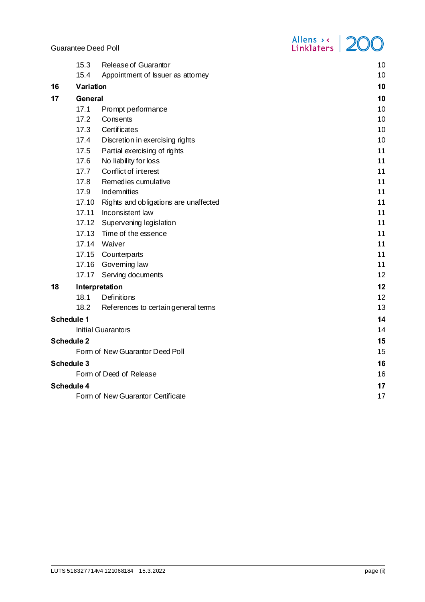|                       | 15.3                            | Release of Guarantor                        | 10 |  |
|-----------------------|---------------------------------|---------------------------------------------|----|--|
|                       | 15.4                            | Appointment of Issuer as attorney           | 10 |  |
| 16                    |                                 | Variation                                   |    |  |
| 17                    | <b>General</b>                  |                                             |    |  |
|                       | 17.1                            | Prompt performance                          | 10 |  |
|                       | 17.2                            | Consents                                    | 10 |  |
|                       | 17.3                            | <b>Certificates</b>                         | 10 |  |
|                       | 17.4                            | Discretion in exercising rights             | 10 |  |
|                       | 17.5                            | Partial exercising of rights                | 11 |  |
|                       | 17.6                            | No liability for loss                       | 11 |  |
|                       | 17.7                            | Conflict of interest                        | 11 |  |
|                       | 17.8                            | Remedies cumulative                         | 11 |  |
|                       | 17.9                            | Indemnities                                 | 11 |  |
|                       |                                 | 17.10 Rights and obligations are unaffected | 11 |  |
|                       |                                 | 17.11 Inconsistent law                      | 11 |  |
|                       |                                 | 17.12 Supervening legislation               | 11 |  |
|                       |                                 | 17.13 Time of the essence                   | 11 |  |
|                       |                                 | 17.14 Waiver                                | 11 |  |
|                       |                                 | 17.15 Counterparts                          | 11 |  |
|                       |                                 | 17.16 Governing law                         | 11 |  |
|                       | 17.17                           | Serving documents                           | 12 |  |
| 18                    | Interpretation                  | 12                                          |    |  |
|                       | 18.1                            | Definitions                                 | 12 |  |
|                       | 18.2                            | References to certain general tems          | 13 |  |
|                       | Schedule 1                      |                                             | 14 |  |
|                       |                                 | Initial Guarantors                          | 14 |  |
| Schedule <sub>2</sub> | 15                              |                                             |    |  |
|                       | Form of New Guarantor Deed Poll | 15                                          |    |  |
| Schedule 3            | 16                              |                                             |    |  |
|                       |                                 | Form of Deed of Release                     | 16 |  |
|                       | Schedule 4                      |                                             | 17 |  |
|                       |                                 | Form of New Guarantor Certificate           | 17 |  |
|                       |                                 |                                             |    |  |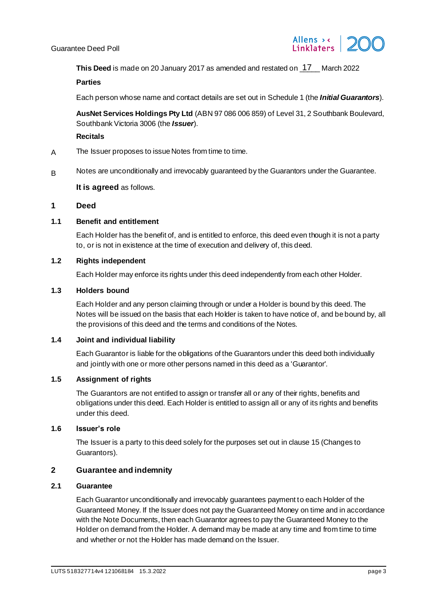

This Deed is made on 20 January 2017 as amended and restated on **17** March 2022

#### **Parties**

Each person whose name and contact details are set out i[n Schedule](#page-14-2) 1 (the *Initial Guarantors*).

**AusNet Services Holdings Pty Ltd** (ABN 97 086 006 859) of Level 31, 2 Southbank Boulevard, Southbank Victoria 3006 (the *Issuer*).

# **Recitals**

- A The Issuer proposes to issue Notes from time to time.
- B Notes are unconditionally and irrevocably guaranteed by the Guarantors under the Guarantee.

# **It is agreed** as follows.

# <span id="page-3-0"></span>**1 Deed**

# <span id="page-3-1"></span>**1.1 Benefit and entitlement**

Each Holder has the benefit of, and is entitled to enforce, this deed even though it is not a party to, or is not in existence at the time of execution and delivery of, this deed.

#### <span id="page-3-2"></span>**1.2 Rights independent**

Each Holder may enforce its rights under this deed independently from each other Holder.

# <span id="page-3-3"></span>**1.3 Holders bound**

Each Holder and any person claiming through or under a Holder is bound by this deed. The Notes will be issued on the basis that each Holder is taken to have notice of, and be bound by, all the provisions of this deed and the terms and conditions of the Notes.

# <span id="page-3-4"></span>**1.4 Joint and individual liability**

Each Guarantor is liable for the obligations of the Guarantors under this deed both individually and jointly with one or more other persons named in this deed as a 'Guarantor'.

# <span id="page-3-5"></span>**1.5 Assignment of rights**

The Guarantors are not entitled to assign or transfer all or any of their rights, benefits and obligations under this deed. Each Holder is entitled to assign all or any of its rights and benefits under this deed.

# <span id="page-3-6"></span>**1.6 Issuer's role**

The Issuer is a party to this deed solely for the purposes set out in claus[e 15](#page-9-7) (Changes to Guarantors).

# <span id="page-3-7"></span>**2 Guarantee and indemnity**

#### <span id="page-3-9"></span><span id="page-3-8"></span>**2.1 Guarantee**

Each Guarantor unconditionally and irrevocably guarantees payment to each Holder of the Guaranteed Money. If the Issuer does not pay the Guaranteed Money on time and in accordance with the Note Documents, then each Guarantor agrees to pay the Guaranteed Money to the Holder on demand from the Holder. A demand may be made at any time and from time to time and whether or not the Holder has made demand on the Issuer.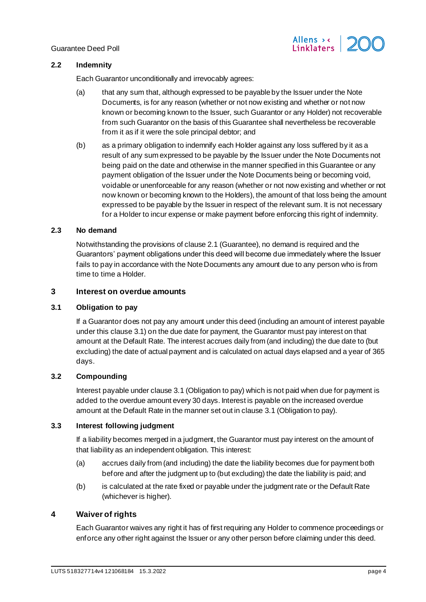# <span id="page-4-0"></span>**2.2 Indemnity**

Each Guarantor unconditionally and irrevocably agrees:

(a) that any sum that, although expressed to be payable by the Issuer under the Note Documents, is for any reason (whether or not now existing and whether or not now known or becoming known to the Issuer, such Guarantor or any Holder) not recoverable from such Guarantor on the basis of this Guarantee shall nevertheless be recoverable from it as if it were the sole principal debtor; and

Allens > < Linklaters

(b) as a primary obligation to indemnify each Holder against any loss suffered by it as a result of any sum expressed to be payable by the Issuer under the Note Documents not being paid on the date and otherwise in the manner specified in this Guarantee or any payment obligation of the Issuer under the Note Documents being or becoming void, voidable or unenforceable for any reason (whether or not now existing and whether or not now known or becoming known to the Holders), the amount of that loss being the amount expressed to be payable by the Issuer in respect of the relevant sum. It is not necessary for a Holder to incur expense or make payment before enforcing this right of indemnity.

# <span id="page-4-1"></span>**2.3 No demand**

Notwithstanding the provisions of claus[e 2.1](#page-3-9) (Guarantee), no demand is required and the Guarantors' payment obligations under this deed will become due immediately where the Issuer fails to pay in accordance with the Note Documents any amount due to any person who is from time to time a Holder.

# <span id="page-4-2"></span>**3 Interest on overdue amounts**

# <span id="page-4-7"></span><span id="page-4-3"></span>**3.1 Obligation to pay**

If a Guarantor does not pay any amount under this deed (including an amount of interest payable under this claus[e 3.1](#page-4-7)) on the due date for payment, the Guarantor must pay interest on that amount at the Default Rate. The interest accrues daily from (and including) the due date to (but excluding) the date of actual payment and is calculated on actual days elapsed and a year of 365 days.

# <span id="page-4-4"></span>**3.2 Compounding**

Interest payable under claus[e 3.1](#page-4-7) (Obligation to pay) which is not paid when due for payment is added to the overdue amount every 30 days. Interest is payable on the increased overdue amount at the Default Rate in the manner set out in claus[e 3.1](#page-4-7) (Obligation to pay).

# <span id="page-4-5"></span>**3.3 Interest following judgment**

If a liability becomes merged in a judgment, the Guarantor must pay interest on the amount of that liability as an independent obligation. This interest:

- (a) accrues daily from (and including) the date the liability becomes due for payment both before and after the judgment up to (but excluding) the date the liability is paid; and
- (b) is calculated at the rate fixed or payable under the judgment rate or the Default Rate (whichever is higher).

# <span id="page-4-6"></span>**4 Waiver of rights**

Each Guarantor waives any right it has of first requiring any Holder to commence proceedings or enforce any other right against the Issuer or any other person before claiming under this deed.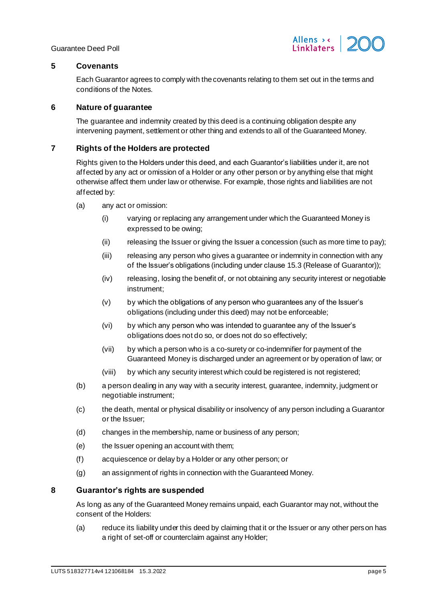

# <span id="page-5-0"></span>**5 Covenants**

Each Guarantor agrees to comply with the covenants relating to them set out in the terms and conditions of the Notes.

# <span id="page-5-1"></span>**6 Nature of guarantee**

The guarantee and indemnity created by this deed is a continuing obligation despite any intervening payment, settlement or other thing and extends to all of the Guaranteed Money.

# <span id="page-5-2"></span>**7 Rights of the Holders are protected**

Rights given to the Holders under this deed, and each Guarantor's liabilities under it, are not affected by any act or omission of a Holder or any other person or by anything else that might otherwise affect them under law or otherwise. For example, those rights and liabilities are not affected by:

- (a) any act or omission:
	- (i) varying or replacing any arrangement under which the Guaranteed Money is expressed to be owing;
	- (ii) releasing the Issuer or giving the Issuer a concession (such as more time to pay);
	- (iii) releasing any person who gives a guarantee or indemnity in connection with any of the Issuer's obligations (including under claus[e 15.3](#page-10-8) (Release of Guarantor));
	- (iv) releasing, losing the benefit of, or not obtaining any security interest or negotiable instrument;
	- (v) by which the obligations of any person who guarantees any of the Issuer's obligations (including under this deed) may not be enforceable;
	- (vi) by which any person who was intended to guarantee any of the Issuer's obligations does not do so, or does not do so effectively;
	- (vii) by which a person who is a co-surety or co-indemnifier for payment of the Guaranteed Money is discharged under an agreement or by operation of law; or
	- (viii) by which any security interest which could be registered is not registered;
- (b) a person dealing in any way with a security interest, guarantee, indemnity, judgment or negotiable instrument;
- (c) the death, mental or physical disability or insolvency of any person including a Guarantor or the Issuer;
- (d) changes in the membership, name or business of any person;
- (e) the Issuer opening an account with them;
- (f) acquiescence or delay by a Holder or any other person; or
- (g) an assignment of rights in connection with the Guaranteed Money.

# <span id="page-5-3"></span>**8 Guarantor's rights are suspended**

As long as any of the Guaranteed Money remains unpaid, each Guarantor may not, without the consent of the Holders:

(a) reduce its liability under this deed by claiming that it or the Issuer or any other person has a right of set-off or counterclaim against any Holder;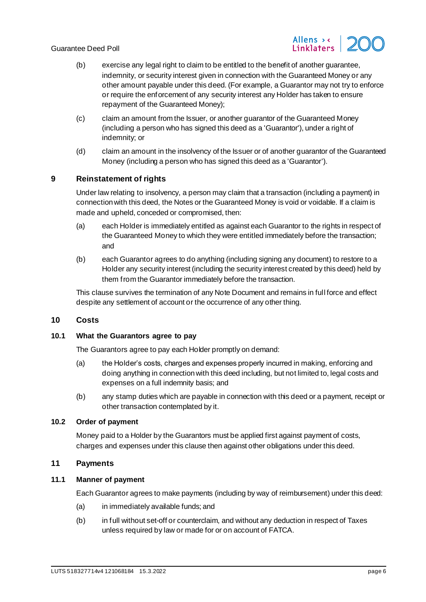

- (b) exercise any legal right to claim to be entitled to the benefit of another guarantee, indemnity, or security interest given in connection with the Guaranteed Money or any other amount payable under this deed. (For example, a Guarantor may not try to enforce or require the enforcement of any security interest any Holder has taken to ensure repayment of the Guaranteed Money);
- (c) claim an amount from the Issuer, or another guarantor of the Guaranteed Money (including a person who has signed this deed as a 'Guarantor'), under a right of indemnity; or
- (d) claim an amount in the insolvency of the Issuer or of another guarantor of the Guaranteed Money (including a person who has signed this deed as a 'Guarantor').

# <span id="page-6-0"></span>**9 Reinstatement of rights**

Under law relating to insolvency, a person may claim that a transaction (including a payment) in connection with this deed, the Notes or the Guaranteed Money is void or voidable. If a claim is made and upheld, conceded or compromised, then:

- (a) each Holder is immediately entitled as against each Guarantor to the rights in respect of the Guaranteed Money to which they were entitled immediately before the transaction; and
- (b) each Guarantor agrees to do anything (including signing any document) to restore to a Holder any security interest (including the security interest created by this deed) held by them from the Guarantor immediately before the transaction.

This clause survives the termination of any Note Document and remains in full force and effect despite any settlement of account or the occurrence of any other thing.

# <span id="page-6-1"></span>**10 Costs**

# <span id="page-6-2"></span>**10.1 What the Guarantors agree to pay**

The Guarantors agree to pay each Holder promptly on demand:

- (a) the Holder's costs, charges and expenses properly incurred in making, enforcing and doing anything in connection with this deed including, but not limited to, legal costs and expenses on a full indemnity basis; and
- (b) any stamp duties which are payable in connection with this deed or a payment, receipt or other transaction contemplated by it.

# <span id="page-6-3"></span>**10.2 Order of payment**

Money paid to a Holder by the Guarantors must be applied first against payment of costs, charges and expenses under this clause then against other obligations under this deed.

# <span id="page-6-4"></span>**11 Payments**

# <span id="page-6-5"></span>**11.1 Manner of payment**

Each Guarantor agrees to make payments (including by way of reimbursement) under this deed:

- (a) in immediately available funds; and
- (b) in full without set-off or counterclaim, and without any deduction in respect of Taxes unless required by law or made for or on account of FATCA.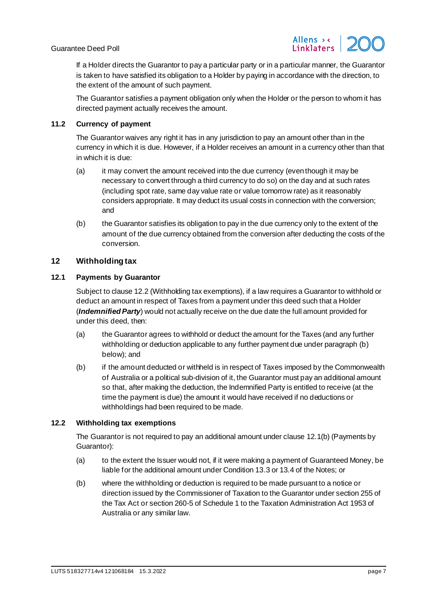

If a Holder directs the Guarantor to pay a particular party or in a particular manner, the Guarantor is taken to have satisfied its obligation to a Holder by paying in accordance with the direction, to the extent of the amount of such payment.

The Guarantor satisfies a payment obligation only when the Holder or the person to whom it has directed payment actually receives the amount.

# <span id="page-7-0"></span>**11.2 Currency of payment**

The Guarantor waives any right it has in any jurisdiction to pay an amount other than in the currency in which it is due. However, if a Holder receives an amount in a currency other than that in which it is due:

- (a) it may convert the amount received into the due currency (even though it may be necessary to convert through a third currency to do so) on the day and at such rates (including spot rate, same day value rate or value tomorrow rate) as it reasonably considers appropriate. It may deduct its usual costs in connection with the conversion; and
- (b) the Guarantor satisfies its obligation to pay in the due currency only to the extent of the amount of the due currency obtained from the conversion after deducting the costs of the conversion.

# <span id="page-7-1"></span>**12 Withholding tax**

# <span id="page-7-6"></span><span id="page-7-2"></span>**12.1 Payments by Guarantor**

Subject to claus[e 12.2](#page-7-4) (Withholding tax exemptions), if a law requires a Guarantor to withhold or deduct an amount in respect of Taxes from a payment under this deed such that a Holder (*Indemnified Party*) would not actually receive on the due date the full amount provided for under this deed, then:

- (a) the Guarantor agrees to withhold or deduct the amount for the Taxes (and any further withholding or deduction applicable to any further payment due under paragrap[h \(b\)](#page-7-5) below); and
- <span id="page-7-5"></span>(b) if the amount deducted or withheld is in respect of Taxes imposed by the Commonwealth of Australia or a political sub-division of it, the Guarantor must pay an additional amount so that, after making the deduction, the Indemnified Party is entitled to receive (at the time the payment is due) the amount it would have received if no deductions or withholdings had been required to be made.

# <span id="page-7-4"></span><span id="page-7-3"></span>**12.2 Withholding tax exemptions**

The Guarantor is not required to pay an additional amount under claus[e 12.1\(b\)](#page-7-5) (Payments by Guarantor):

- (a) to the extent the Issuer would not, if it were making a payment of Guaranteed Money, be liable for the additional amount under Condition 13.3 or 13.4 of the Notes; or
- (b) where the withholding or deduction is required to be made pursuant to a notice or direction issued by the Commissioner of Taxation to the Guarantor under section 255 of the Tax Act or section 260-5 of Schedule 1 to the Taxation Administration Act 1953 of Australia or any similar law.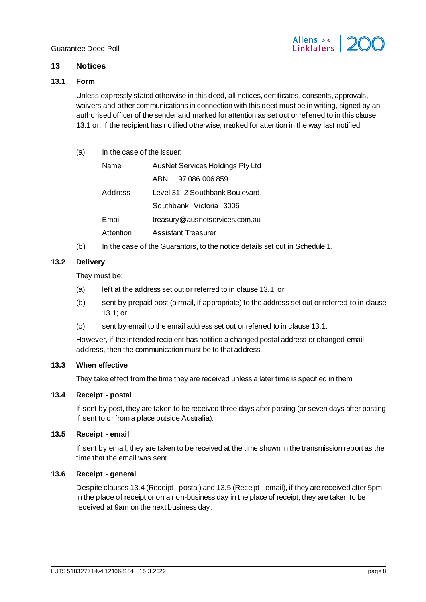

# <span id="page-8-10"></span><span id="page-8-0"></span>**13 Notices**

# <span id="page-8-7"></span><span id="page-8-1"></span>**13.1 Form**

Unless expressly stated otherwise in this deed, all notices, certificates, consents, approvals, waivers and other communications in connection with this deed must be in writing, signed by an authorised officer of the sender and marked for attention as set out or referred to in this clause [13.1](#page-8-7) or, if the recipient has notified otherwise, marked for attention in the way last notified.

(a) In the case of the Issuer:

| Name      | AusNet Services Holdings Pty Ltd |  |  |
|-----------|----------------------------------|--|--|
|           | 97 086 006 859<br>ABN            |  |  |
| Address   | Level 31, 2 Southbank Boulevard  |  |  |
|           | Southbank Victoria 3006          |  |  |
| Email     | treasury@ausnetservices.com.au   |  |  |
| Attention | Assistant Treasurer              |  |  |

(b) In the case of the Guarantors, to the notice details set out i[n Schedule](#page-14-2) 1.

# <span id="page-8-2"></span>**13.2 Delivery**

They must be:

- (a) left at the address set out or referred to in claus[e 13.1](#page-8-7); or
- (b) sent by prepaid post (airmail, if appropriate) to the address set out or referred to in clause [13.1;](#page-8-7) or
- (c) sent by email to the email address set out or referred to in claus[e 13.1](#page-8-7).

However, if the intended recipient has notified a changed postal address or changed email address, then the communication must be to that address.

# <span id="page-8-3"></span>**13.3 When effective**

They take effect from the time they are received unless a later time is specified in them.

# <span id="page-8-8"></span><span id="page-8-4"></span>**13.4 Receipt - postal**

If sent by post, they are taken to be received three days after posting (or seven days after posting if sent to or from a place outside Australia).

# <span id="page-8-9"></span><span id="page-8-5"></span>**13.5 Receipt - email**

If sent by email, they are taken to be received at the time shown in the transmission report as the time that the email was sent.

# <span id="page-8-6"></span>**13.6 Receipt - general**

Despite clause[s 13.4](#page-8-8) (Receipt - postal) an[d 13.5](#page-8-9) (Receipt - email), if they are received after 5pm in the place of receipt or on a non-business day in the place of receipt, they are taken to be received at 9am on the next business day.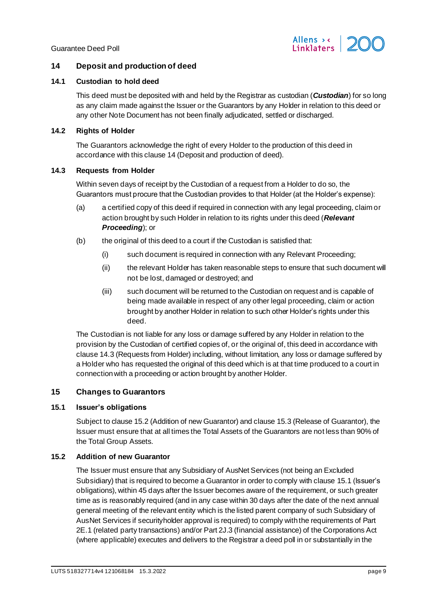

# <span id="page-9-8"></span><span id="page-9-0"></span>**14 Deposit and production of deed**

#### <span id="page-9-12"></span><span id="page-9-1"></span>**14.1 Custodian to hold deed**

This deed must be deposited with and held by the Registrar as custodian (*Custodian*) for so long as any claim made against the Issuer or the Guarantors by any Holder in relation to this deed or any other Note Document has not been finally adjudicated, settled or discharged.

#### <span id="page-9-2"></span>**14.2 Rights of Holder**

The Guarantors acknowledge the right of every Holder to the production of this deed in accordance with this claus[e 14](#page-9-8) (Deposit and production of deed).

#### <span id="page-9-9"></span><span id="page-9-3"></span>**14.3 Requests from Holder**

Within seven days of receipt by the Custodian of a request from a Holder to do so, the Guarantors must procure that the Custodian provides to that Holder (at the Holder's expense):

- (a) a certified copy of this deed if required in connection with any legal proceeding, claim or action brought by such Holder in relation to its rights under this deed (*Relevant Proceeding*); or
- (b) the original of this deed to a court if the Custodian is satisfied that:
	- (i) such document is required in connection with any Relevant Proceeding;
	- (ii) the relevant Holder has taken reasonable steps to ensure that such document will not be lost, damaged or destroyed; and
	- (iii) such document will be returned to the Custodian on request and is capable of being made available in respect of any other legal proceeding, claim or action brought by another Holder in relation to such other Holder's rights under this deed.

The Custodian is not liable for any loss or damage suffered by any Holder in relation to the provision by the Custodian of certified copies of, or the original of, this deed in accordance with claus[e 14.3](#page-9-9) (Requests from Holder) including, without limitation, any loss or damage suffered by a Holder who has requested the original of this deed which is at that time produced to a court in connection with a proceeding or action brought by another Holder.

# <span id="page-9-7"></span><span id="page-9-4"></span>**15 Changes to Guarantors**

# <span id="page-9-11"></span><span id="page-9-5"></span>**15.1 Issuer's obligations**

Subject to claus[e 15.2](#page-9-10) (Addition of new Guarantor) and claus[e 15.3](#page-10-8) (Release of Guarantor), the Issuer must ensure that at all times the Total Assets of the Guarantors are not less than 90% of the Total Group Assets.

# <span id="page-9-10"></span><span id="page-9-6"></span>**15.2 Addition of new Guarantor**

The Issuer must ensure that any Subsidiary of AusNet Services (not being an Excluded Subsidiary) that is required to become a Guarantor in order to comply with claus[e 15.1](#page-9-11) (Issuer's obligations), within 45 days after the Issuer becomes aware of the requirement, or such greater time as is reasonably required (and in any case within 30 days after the date of the next annual general meeting of the relevant entity which is the listed parent company of such Subsidiary of AusNet Services if securityholder approval is required) to comply with the requirements of Part 2E.1 (related party transactions) and/or Part 2J.3 (financial assistance) of the Corporations Act (where applicable) executes and delivers to the Registrar a deed poll in or substantially in the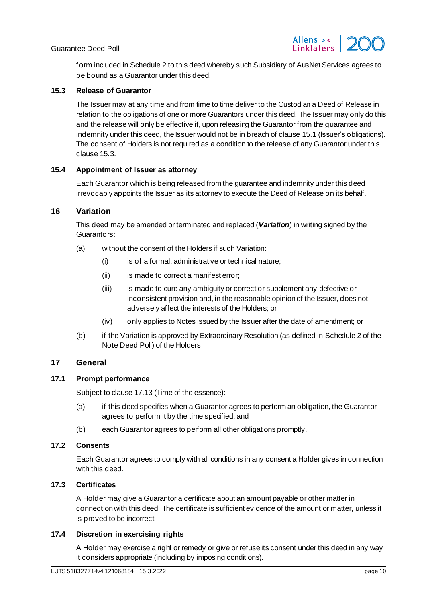

form included i[n Schedule](#page-15-2) 2 to this deed whereby such Subsidiary of AusNet Services agrees to be bound as a Guarantor under this deed.

## <span id="page-10-8"></span><span id="page-10-0"></span>**15.3 Release of Guarantor**

The Issuer may at any time and from time to time deliver to the Custodian a Deed of Release in relation to the obligations of one or more Guarantors under this deed. The Issuer may only do this and the release will only be effective if, upon releasing the Guarantor from the guarantee and indemnity under this deed, the Issuer would not be in breach of claus[e 15.1](#page-9-11) (Issuer's obligations). The consent of Holders is not required as a condition to the release of any Guarantor under this claus[e 15.3.](#page-10-8)

#### <span id="page-10-1"></span>**15.4 Appointment of Issuer as attorney**

Each Guarantor which is being released from the guarantee and indemnity under this deed irrevocably appoints the Issuer as its attorney to execute the Deed of Release on its behalf.

# <span id="page-10-2"></span>**16 Variation**

This deed may be amended or terminated and replaced (*Variation*) in writing signed by the Guarantors:

- (a) without the consent of the Holders if such Variation:
	- (i) is of a formal, administrative or technical nature;
	- (ii) is made to correct a manifest error;
	- (iii) is made to cure any ambiguity or correct or supplement any defective or inconsistent provision and, in the reasonable opinion of the Issuer, does not adversely affect the interests of the Holders; or
	- (iv) only applies to Notes issued by the Issuer after the date of amendment; or
- (b) if the Variation is approved by Extraordinary Resolution (as defined in Schedule 2 of the Note Deed Poll) of the Holders.

# <span id="page-10-3"></span>**17 General**

# <span id="page-10-4"></span>**17.1 Prompt performance**

Subject to claus[e 17.13](#page-11-12) (Time of the essence):

- (a) if this deed specifies when a Guarantor agrees to perform an obligation, the Guarantor agrees to perform it by the time specified; and
- (b) each Guarantor agrees to perform all other obligations promptly.

# <span id="page-10-5"></span>**17.2 Consents**

Each Guarantor agrees to comply with all conditions in any consent a Holder gives in connection with this deed.

# <span id="page-10-6"></span>**17.3 Certificates**

A Holder may give a Guarantor a certificate about an amount payable or other matter in connection with this deed. The certificate is sufficient evidence of the amount or matter, unless it is proved to be incorrect.

# <span id="page-10-7"></span>**17.4 Discretion in exercising rights**

A Holder may exercise a right or remedy or give or refuse its consent under this deed in any way it considers appropriate (including by imposing conditions).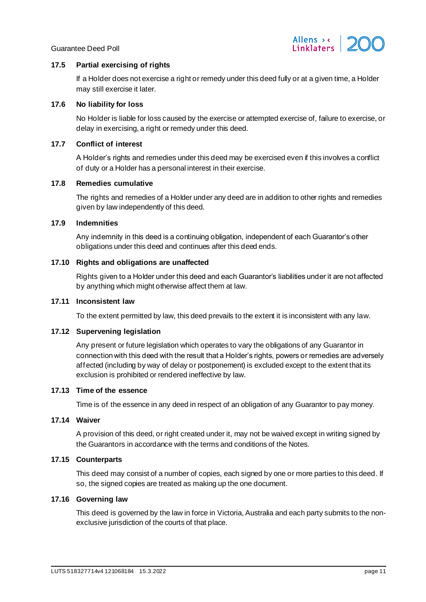

# <span id="page-11-0"></span>**17.5 Partial exercising of rights**

If a Holder does not exercise a right or remedy under this deed fully or at a given time, a Holder may still exercise it later.

# <span id="page-11-1"></span>**17.6 No liability for loss**

No Holder is liable for loss caused by the exercise or attempted exercise of, failure to exercise, or delay in exercising, a right or remedy under this deed.

# <span id="page-11-2"></span>**17.7 Conflict of interest**

A Holder's rights and remedies under this deed may be exercised even if this involves a conflict of duty or a Holder has a personal interest in their exercise.

# <span id="page-11-3"></span>**17.8 Remedies cumulative**

The rights and remedies of a Holder under any deed are in addition to other rights and remedies given by law independently of this deed.

# <span id="page-11-4"></span>**17.9 Indemnities**

Any indemnity in this deed is a continuing obligation, independent of each Guarantor's other obligations under this deed and continues after this deed ends.

# <span id="page-11-5"></span>**17.10 Rights and obligations are unaffected**

Rights given to a Holder under this deed and each Guarantor's liabilities under it are not affected by anything which might otherwise affect them at law.

# <span id="page-11-6"></span>**17.11 Inconsistent law**

To the extent permitted by law, this deed prevails to the extent it is inconsistent with any law.

# <span id="page-11-7"></span>**17.12 Supervening legislation**

Any present or future legislation which operates to vary the obligations of any Guarantor in connection with this deed with the result that a Holder's rights, powers or remedies are adversely affected (including by way of delay or postponement) is excluded except to the extent that its exclusion is prohibited or rendered ineffective by law.

# <span id="page-11-12"></span><span id="page-11-8"></span>**17.13 Time of the essence**

Time is of the essence in any deed in respect of an obligation of any Guarantor to pay money.

# <span id="page-11-9"></span>**17.14 Waiver**

A provision of this deed, or right created under it, may not be waived except in writing signed by the Guarantors in accordance with the terms and conditions of the Notes.

# <span id="page-11-10"></span>**17.15 Counterparts**

This deed may consist of a number of copies, each signed by one or more parties to this deed. If so, the signed copies are treated as making up the one document.

# <span id="page-11-11"></span>**17.16 Governing law**

This deed is governed by the law in force in Victoria, Australia and each party submits to the nonexclusive jurisdiction of the courts of that place.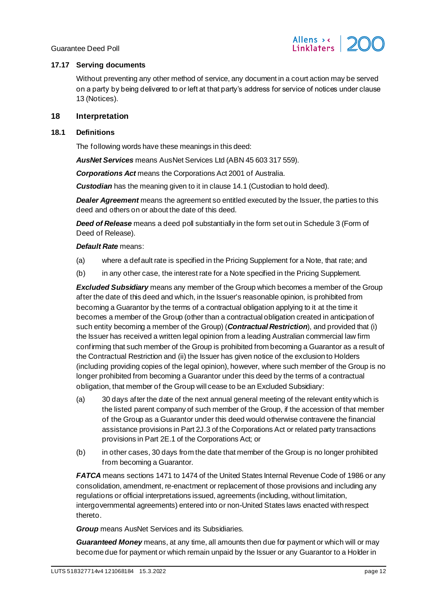

# <span id="page-12-0"></span>**17.17 Serving documents**

Without preventing any other method of service, any document in a court action may be served on a party by being delivered to or left at that party's address for service of notices under clause [13](#page-8-10) (Notices).

# <span id="page-12-3"></span><span id="page-12-1"></span>**18 Interpretation**

#### <span id="page-12-2"></span>**18.1 Definitions**

The following words have these meanings in this deed:

*AusNet Services* means AusNet Services Ltd (ABN 45 603 317 559).

*Corporations Act* means the Corporations Act 2001 of Australia.

**Custodian** has the meaning given to it in claus[e 14.1](#page-9-12) (Custodian to hold deed).

*Dealer Agreement* means the agreement so entitled executed by the Issuer, the parties to this deed and others on or about the date of this deed.

*Deed of Release* means a deed poll substantially in the form set out i[n Schedule](#page-16-2) 3 (Form of Deed of Release).

#### *Default Rate* means:

- (a) where a default rate is specified in the Pricing Supplement for a Note, that rate; and
- (b) in any other case, the interest rate for a Note specified in the Pricing Supplement.

*Excluded Subsidiary* means any member of the Group which becomes a member of the Group after the date of this deed and which, in the Issuer's reasonable opinion, is prohibited from becoming a Guarantor by the terms of a contractual obligation applying to it at the time it becomes a member of the Group (other than a contractual obligation created in anticipation of such entity becoming a member of the Group) (*Contractual Restriction*), and provided that (i) the Issuer has received a written legal opinion from a leading Australian commercial law firm confirming that such member of the Group is prohibited from becoming a Guarantor as a result of the Contractual Restriction and (ii) the Issuer has given notice of the exclusion to Holders (including providing copies of the legal opinion), however, where such member of the Group is no longer prohibited from becoming a Guarantor under this deed by the terms of a contractual obligation, that member of the Group will cease to be an Excluded Subsidiary:

- (a) 30 days after the date of the next annual general meeting of the relevant entity which is the listed parent company of such member of the Group, if the accession of that member of the Group as a Guarantor under this deed would otherwise contravene the financial assistance provisions in Part 2J.3 of the Corporations Act or related party transactions provisions in Part 2E.1 of the Corporations Act; or
- (b) in other cases, 30 days from the date that member of the Group is no longer prohibited from becoming a Guarantor.

*FATCA* means sections 1471 to 1474 of the United States Internal Revenue Code of 1986 or any consolidation, amendment, re-enactment or replacement of those provisions and including any regulations or official interpretations issued, agreements (including, without limitation, intergovernmental agreements) entered into or non-United States laws enacted with respect thereto.

*Group* means AusNet Services and its Subsidiaries.

*Guaranteed Money* means, at any time, all amounts then due for payment or which will or may become due for payment or which remain unpaid by the Issuer or any Guarantor to a Holder in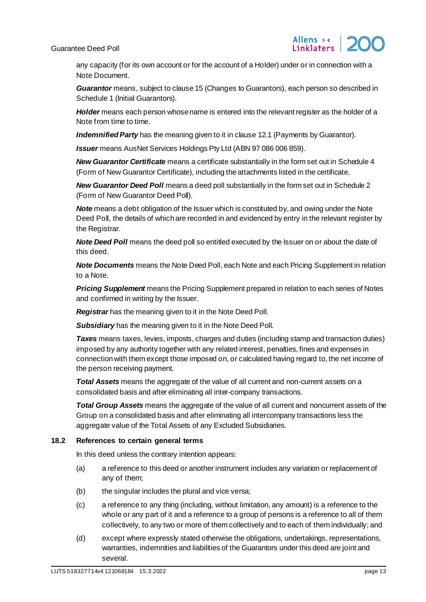

any capacity (for its own account or for the account of a Holder) under or in connection with a Note Document.

*Guarantor* means, subject to claus[e 15](#page-9-7) (Changes to Guarantors), each person so described in [Schedule](#page-14-2) 1 (Initial Guarantors).

Holder means each person whose name is entered into the relevant register as the holder of a Note from time to time.

*Indemnified Party* has the meaning given to it in claus[e 12.1](#page-7-6) (Payments by Guarantor).

*Issuer* means AusNet Services Holdings Pty Ltd (ABN 97 086 006 859).

*New Guarantor Certificate* means a certificate substantially in the form set out i[n Schedule](#page-17-2) 4 (Form of New Guarantor Certificate), including the attachments listed in the certificate.

*New Guarantor Deed Poll* means a deed poll substantially in the form set out i[n Schedule](#page-15-2) 2 (Form of New Guarantor Deed Poll).

**Note** means a debt obligation of the Issuer which is constituted by, and owing under the Note Deed Poll, the details of which are recorded in and evidenced by entry in the relevant register by the Registrar.

**Note Deed Poll** means the deed poll so entitled executed by the Issuer on or about the date of this deed.

*Note Documents* means the Note Deed Poll, each Note and each Pricing Supplement in relation to a Note.

*Pricing Supplement* means the Pricing Supplement prepared in relation to each series of Notes and confirmed in writing by the Issuer.

*Registrar* has the meaning given to it in the Note Deed Poll.

*Subsidiary* has the meaning given to it in the Note Deed Poll.

*Taxes* means taxes, levies, imposts, charges and duties (including stamp and transaction duties) imposed by any authority together with any related interest, penalties, fines and expenses in connection with them except those imposed on, or calculated having regard to, the net income of the person receiving payment.

*Total Assets* means the aggregate of the value of all current and non-current assets on a consolidated basis and after eliminating all inter-company transactions.

*Total Group Assets* means the aggregate of the value of all current and noncurrent assets of the Group on a consolidated basis and after eliminating all intercompany transactions less the aggregate value of the Total Assets of any Excluded Subsidiaries.

# <span id="page-13-0"></span>**18.2 References to certain general terms**

In this deed unless the contrary intention appears:

- (a) a reference to this deed or another instrument includes any variation or replacement of any of them;
- (b) the singular includes the plural and vice versa;
- (c) a reference to any thing (including, without limitation, any amount) is a reference to the whole or any part of it and a reference to a group of persons is a reference to all of them collectively, to any two or more of them collectively and to each of them individually; and
- (d) except where expressly stated otherwise the obligations, undertakings, representations, warranties, indemnities and liabilities of the Guarantors under this deed are joint and several.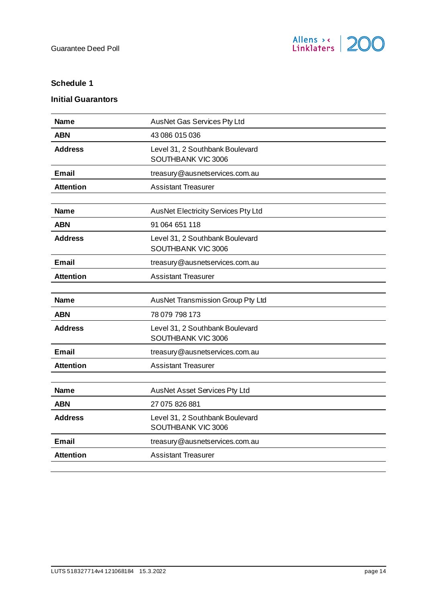

# <span id="page-14-2"></span><span id="page-14-0"></span>**Schedule 1**

# <span id="page-14-1"></span>**Initial Guarantors**

| <b>Name</b>      | AusNet Gas Services Pty Ltd                           |
|------------------|-------------------------------------------------------|
| <b>ABN</b>       | 43 086 015 036                                        |
| <b>Address</b>   | Level 31, 2 Southbank Boulevard<br>SOUTHBANK VIC 3006 |
| <b>Email</b>     | treasury@ausnetservices.com.au                        |
| <b>Attention</b> | <b>Assistant Treasurer</b>                            |
|                  |                                                       |
| <b>Name</b>      | <b>AusNet Electricity Services Pty Ltd</b>            |
| <b>ABN</b>       | 91 064 651 118                                        |
| <b>Address</b>   | Level 31, 2 Southbank Boulevard<br>SOUTHBANK VIC 3006 |
| <b>Email</b>     | treasury@ausnetservices.com.au                        |
| <b>Attention</b> | <b>Assistant Treasurer</b>                            |
|                  |                                                       |
| <b>Name</b>      | AusNet Transmission Group Pty Ltd                     |
| <b>ABN</b>       | 78 079 798 173                                        |
| <b>Address</b>   | Level 31, 2 Southbank Boulevard<br>SOUTHBANK VIC 3006 |
| Email            | treasury@ausnetservices.com.au                        |
| <b>Attention</b> | <b>Assistant Treasurer</b>                            |
|                  |                                                       |
| <b>Name</b>      | AusNet Asset Services Pty Ltd                         |
| <b>ABN</b>       | 27 075 826 881                                        |
| <b>Address</b>   | Level 31, 2 Southbank Boulevard<br>SOUTHBANK VIC 3006 |
| <b>Email</b>     | treasury@ausnetservices.com.au                        |
| <b>Attention</b> | <b>Assistant Treasurer</b>                            |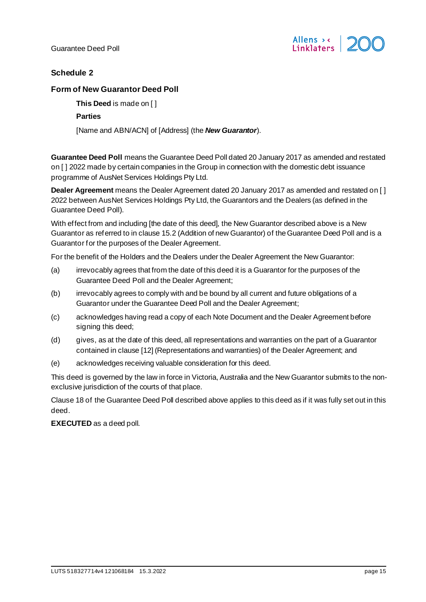

# <span id="page-15-2"></span><span id="page-15-0"></span>**Schedule 2**

# <span id="page-15-1"></span>**Form of New Guarantor Deed Poll**

**This Deed** is made on [ ]

# **Parties**

[Name and ABN/ACN] of [Address] (the *New Guarantor*).

**Guarantee Deed Poll** means the Guarantee Deed Poll dated 20 January 2017 as amended and restated on [ ] 2022 made by certain companies in the Group in connection with the domestic debt issuance programme of AusNet Services Holdings Pty Ltd.

**Dealer Agreement** means the Dealer Agreement dated 20 January 2017 as amended and restated on [ ] 2022 between AusNet Services Holdings Pty Ltd, the Guarantors and the Dealers (as defined in the Guarantee Deed Poll).

With effect from and including [the date of this deed], the New Guarantor described above is a New Guarantor as referred to in claus[e 15.2](#page-9-10) (Addition of new Guarantor) of the Guarantee Deed Poll and is a Guarantor for the purposes of the Dealer Agreement.

For the benefit of the Holders and the Dealers under the Dealer Agreement the New Guarantor:

- (a) irrevocably agrees that from the date of this deed it is a Guarantor for the purposes of the Guarantee Deed Poll and the Dealer Agreement;
- (b) irrevocably agrees to comply with and be bound by all current and future obligations of a Guarantor under the Guarantee Deed Poll and the Dealer Agreement;
- (c) acknowledges having read a copy of each Note Document and the Dealer Agreement before signing this deed;
- (d) gives, as at the date of this deed, all representations and warranties on the part of a Guarantor contained in clause [12] (Representations and warranties) of the Dealer Agreement; and
- (e) acknowledges receiving valuable consideration for this deed.

This deed is governed by the law in force in Victoria, Australia and the New Guarantor submits to the nonexclusive jurisdiction of the courts of that place.

Claus[e 18](#page-12-3) of the Guarantee Deed Poll described above applies to this deed as if it was fully set out in this deed.

**EXECUTED** as a deed poll.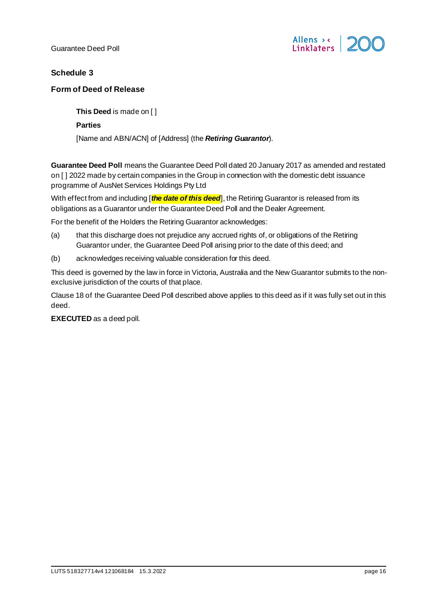

# <span id="page-16-2"></span><span id="page-16-0"></span>**Schedule 3**

# <span id="page-16-1"></span>**Form of Deed of Release**

**This Deed** is made on [ ]

**Parties**

[Name and ABN/ACN] of [Address] (the *Retiring Guarantor*).

**Guarantee Deed Poll** means the Guarantee Deed Poll dated 20 January 2017 as amended and restated on [ ] 2022 made by certain companies in the Group in connection with the domestic debt issuance programme of AusNet Services Holdings Pty Ltd

With effect from and including **[the date of this deed**], the Retiring Guarantor is released from its obligations as a Guarantor under the Guarantee Deed Poll and the Dealer Agreement.

For the benefit of the Holders the Retiring Guarantor acknowledges:

- (a) that this discharge does not prejudice any accrued rights of, or obligations of the Retiring Guarantor under, the Guarantee Deed Poll arising prior to the date of this deed; and
- (b) acknowledges receiving valuable consideration for this deed.

This deed is governed by the law in force in Victoria, Australia and the New Guarantor submits to the nonexclusive jurisdiction of the courts of that place.

Claus[e 18](#page-12-3) of the Guarantee Deed Poll described above applies to this deed as if it was fully set out in this deed.

**EXECUTED** as a deed poll.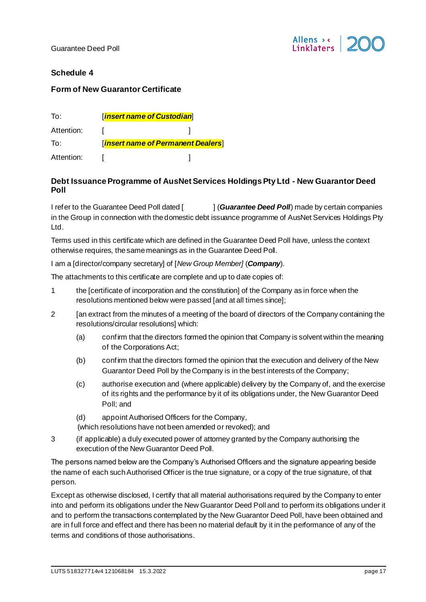

# <span id="page-17-2"></span><span id="page-17-0"></span>**Schedule 4**

# <span id="page-17-1"></span>**Form of New Guarantor Certificate**

| To:        | <b>Insert name of Custodian</b> |                                    |
|------------|---------------------------------|------------------------------------|
| Attention: |                                 |                                    |
| To:        |                                 | [insert name of Permanent Dealers] |
| Attention: |                                 |                                    |

# **Debt Issuance Programme of AusNet Services Holdings Pty Ltd - New Guarantor Deed Poll**

I refer to the Guarantee Deed Poll dated [  $|$   $|$  (*Guarantee Deed Poll*) made by certain companies in the Group in connection with the domestic debt issuance programme of AusNet Services Holdings Pty Ltd.

Terms used in this certificate which are defined in the Guarantee Deed Poll have, unless the context otherwise requires, the same meanings as in the Guarantee Deed Poll.

I am a [director/company secretary] of [*New Group Member]* (*Company*).

The attachments to this certificate are complete and up to date copies of:

- 1 the [certificate of incorporation and the constitution] of the Company as in force when the resolutions mentioned below were passed [and at all times since];
- 2 [an extract from the minutes of a meeting of the board of directors of the Company containing the resolutions/circular resolutions] which:
	- (a) confirm that the directors formed the opinion that Company is solvent within the meaning of the Corporations Act;
	- (b) confirm that the directors formed the opinion that the execution and delivery of the New Guarantor Deed Poll by the Company is in the best interests of the Company;
	- (c) authorise execution and (where applicable) delivery by the Company of, and the exercise of its rights and the performance by it of its obligations under, the New Guarantor Deed Poll; and
	- (d) appoint Authorised Officers for the Company*,*

(which resolutions have not been amended or revoked); and

3 (if applicable) a duly executed power of attorney granted by the Company authorising the execution of the New Guarantor Deed Poll.

The persons named below are the Company's Authorised Officers and the signature appearing beside the name of each such Authorised Officer is the true signature, or a copy of the true signature, of that person.

Except as otherwise disclosed, I certify that all material authorisations required by the Company to enter into and perform its obligations under the New Guarantor Deed Poll and to perform its obligations under it and to perform the transactions contemplated by the New Guarantor Deed Poll, have been obtained and are in full force and effect and there has been no material default by it in the performance of any of the terms and conditions of those authorisations.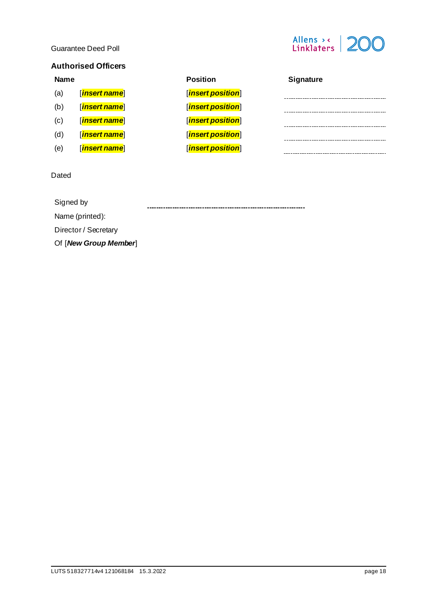

# **Authorised Officers**

#### **Name Position Signature** (a) [*insert name*] [*insert position*] (b) [*insert name*] [*insert position*] -------------------------------------(c) [*insert name*] [*insert position*] (d) [*insert name*] [*insert position*] (e) [*insert name*] [*insert position*]

#### Dated

Signed by 

Name (printed):

Director / Secretary

Of [*New Group Member*]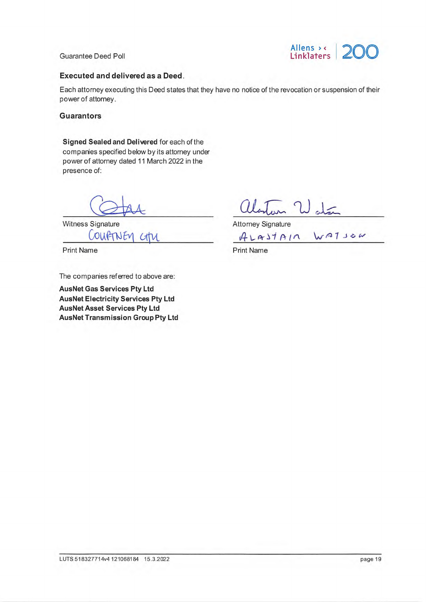

# **Executed and delivered as a Deed.**

Each attorney executing this Deed states that they have no notice of the revocation or suspension of their power of attorney.

# **Guarantors**

Signed Sealed and Delivered for each of the companies specified below by its attorney under power of attorney dated 11 March 2022 in the presence of:

**Witness Signature** CourtNEN CHU

**Print Name** 

The companies referred to above are:

**AusNet Gas Services Pty Ltd AusNet Electricity Services Pty Ltd AusNet Asset Services Pty Ltd AusNet Transmission Group Pty Ltd** 

alleston Water

ALASTAIN WATSON

**Print Name**